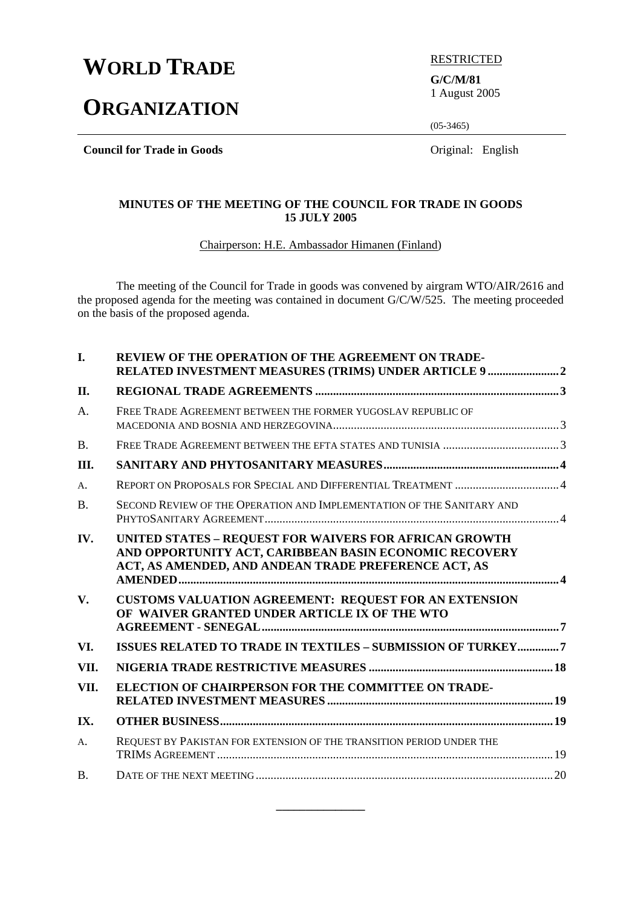# **WORLD TRADE EXPRESTRICTED**

# **ORGANIZATION**

**G/C/M/81**  1 August 2005

(05-3465)

**Council for Trade in Goods Council for Trade in Goods Original:** English

## **MINUTES OF THE MEETING OF THE COUNCIL FOR TRADE IN GOODS 15 JULY 2005**

Chairperson: H.E. Ambassador Himanen (Finland)

 The meeting of the Council for Trade in goods was convened by airgram WTO/AIR/2616 and the proposed agenda for the meeting was contained in document G/C/W/525. The meeting proceeded on the basis of the proposed agenda.

| I.          | <b>REVIEW OF THE OPERATION OF THE AGREEMENT ON TRADE-</b><br>RELATED INVESTMENT MEASURES (TRIMS) UNDER ARTICLE 9 2                                                       |  |
|-------------|--------------------------------------------------------------------------------------------------------------------------------------------------------------------------|--|
| II.         |                                                                                                                                                                          |  |
| A.          | FREE TRADE AGREEMENT BETWEEN THE FORMER YUGOSLAV REPUBLIC OF                                                                                                             |  |
| <b>B.</b>   |                                                                                                                                                                          |  |
| Ш.          |                                                                                                                                                                          |  |
| A.          |                                                                                                                                                                          |  |
| <b>B.</b>   | SECOND REVIEW OF THE OPERATION AND IMPLEMENTATION OF THE SANITARY AND                                                                                                    |  |
| IV.         | UNITED STATES - REQUEST FOR WAIVERS FOR AFRICAN GROWTH<br>AND OPPORTUNITY ACT, CARIBBEAN BASIN ECONOMIC RECOVERY<br>ACT, AS AMENDED, AND ANDEAN TRADE PREFERENCE ACT, AS |  |
| V.          | CUSTOMS VALUATION AGREEMENT: REQUEST FOR AN EXTENSION<br>OF WAIVER GRANTED UNDER ARTICLE IX OF THE WTO                                                                   |  |
| VI.         | ISSUES RELATED TO TRADE IN TEXTILES - SUBMISSION OF TURKEY7                                                                                                              |  |
| VII.        |                                                                                                                                                                          |  |
| VII.        | ELECTION OF CHAIRPERSON FOR THE COMMITTEE ON TRADE-                                                                                                                      |  |
| IX.         |                                                                                                                                                                          |  |
| $A_{\cdot}$ | REQUEST BY PAKISTAN FOR EXTENSION OF THE TRANSITION PERIOD UNDER THE                                                                                                     |  |
| <b>B.</b>   |                                                                                                                                                                          |  |

**\_\_\_\_\_\_\_\_\_\_\_\_\_\_\_**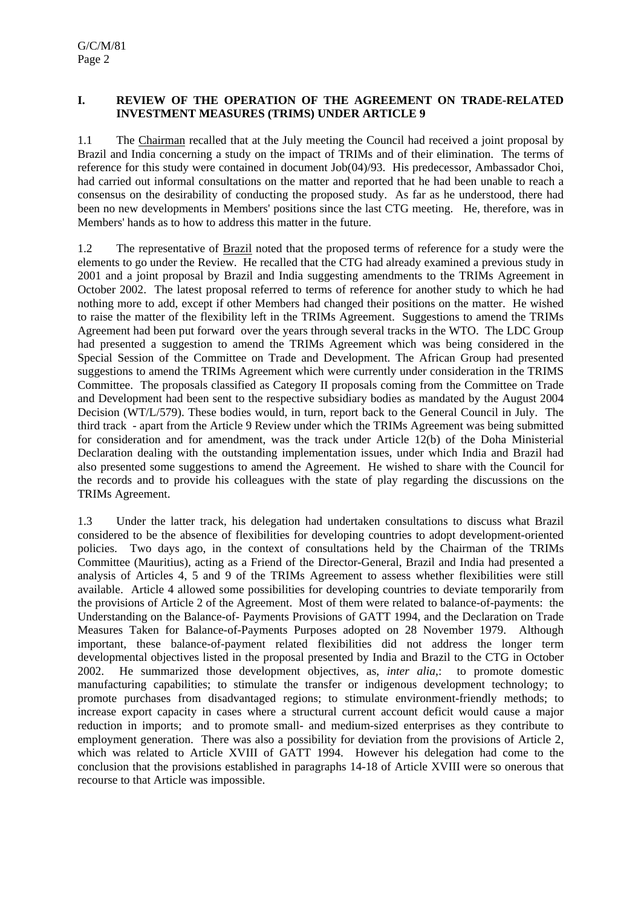## **I. REVIEW OF THE OPERATION OF THE AGREEMENT ON TRADE-RELATED INVESTMENT MEASURES (TRIMS) UNDER ARTICLE 9**

1.1 The Chairman recalled that at the July meeting the Council had received a joint proposal by Brazil and India concerning a study on the impact of TRIMs and of their elimination. The terms of reference for this study were contained in document Job(04)/93. His predecessor, Ambassador Choi, had carried out informal consultations on the matter and reported that he had been unable to reach a consensus on the desirability of conducting the proposed study. As far as he understood, there had been no new developments in Members' positions since the last CTG meeting. He, therefore, was in Members' hands as to how to address this matter in the future.

1.2 The representative of Brazil noted that the proposed terms of reference for a study were the elements to go under the Review. He recalled that the CTG had already examined a previous study in 2001 and a joint proposal by Brazil and India suggesting amendments to the TRIMs Agreement in October 2002. The latest proposal referred to terms of reference for another study to which he had nothing more to add, except if other Members had changed their positions on the matter. He wished to raise the matter of the flexibility left in the TRIMs Agreement. Suggestions to amend the TRIMs Agreement had been put forward over the years through several tracks in the WTO. The LDC Group had presented a suggestion to amend the TRIMs Agreement which was being considered in the Special Session of the Committee on Trade and Development. The African Group had presented suggestions to amend the TRIMs Agreement which were currently under consideration in the TRIMS Committee. The proposals classified as Category II proposals coming from the Committee on Trade and Development had been sent to the respective subsidiary bodies as mandated by the August 2004 Decision (WT/L/579). These bodies would, in turn, report back to the General Council in July. The third track - apart from the Article 9 Review under which the TRIMs Agreement was being submitted for consideration and for amendment, was the track under Article 12(b) of the Doha Ministerial Declaration dealing with the outstanding implementation issues, under which India and Brazil had also presented some suggestions to amend the Agreement. He wished to share with the Council for the records and to provide his colleagues with the state of play regarding the discussions on the TRIMs Agreement.

1.3 Under the latter track, his delegation had undertaken consultations to discuss what Brazil considered to be the absence of flexibilities for developing countries to adopt development-oriented policies. Two days ago, in the context of consultations held by the Chairman of the TRIMs Committee (Mauritius), acting as a Friend of the Director-General, Brazil and India had presented a analysis of Articles 4, 5 and 9 of the TRIMs Agreement to assess whether flexibilities were still available. Article 4 allowed some possibilities for developing countries to deviate temporarily from the provisions of Article 2 of the Agreement. Most of them were related to balance-of-payments: the Understanding on the Balance-of- Payments Provisions of GATT 1994, and the Declaration on Trade Measures Taken for Balance-of-Payments Purposes adopted on 28 November 1979. Although important, these balance-of-payment related flexibilities did not address the longer term developmental objectives listed in the proposal presented by India and Brazil to the CTG in October 2002. He summarized those development objectives, as, *inter alia*,: to promote domestic manufacturing capabilities; to stimulate the transfer or indigenous development technology; to promote purchases from disadvantaged regions; to stimulate environment-friendly methods; to increase export capacity in cases where a structural current account deficit would cause a major reduction in imports; and to promote small- and medium-sized enterprises as they contribute to employment generation. There was also a possibility for deviation from the provisions of Article 2, which was related to Article XVIII of GATT 1994. However his delegation had come to the conclusion that the provisions established in paragraphs 14-18 of Article XVIII were so onerous that recourse to that Article was impossible.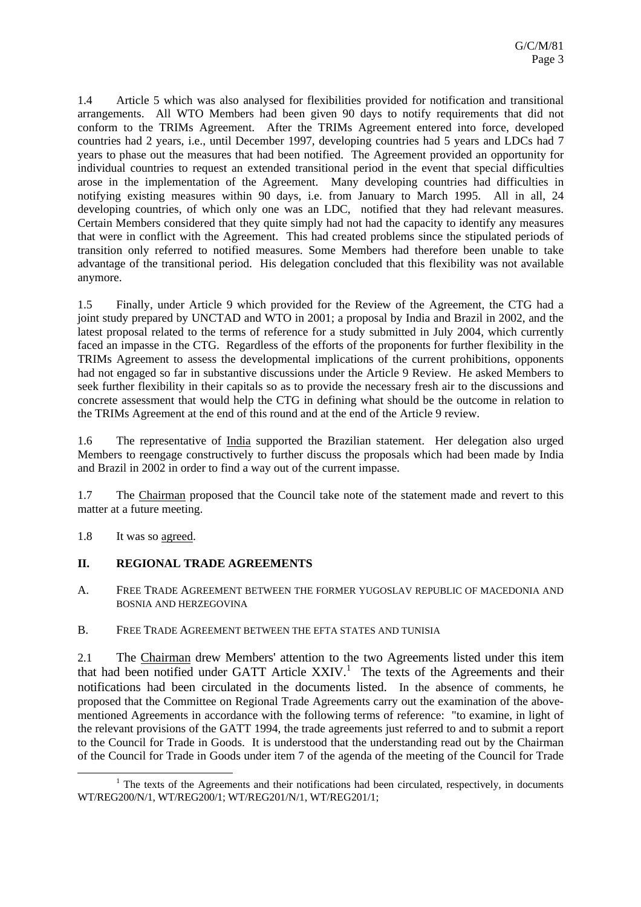1.4 Article 5 which was also analysed for flexibilities provided for notification and transitional arrangements. All WTO Members had been given 90 days to notify requirements that did not conform to the TRIMs Agreement. After the TRIMs Agreement entered into force, developed countries had 2 years, i.e., until December 1997, developing countries had 5 years and LDCs had 7 years to phase out the measures that had been notified. The Agreement provided an opportunity for individual countries to request an extended transitional period in the event that special difficulties arose in the implementation of the Agreement. Many developing countries had difficulties in notifying existing measures within 90 days, i.e. from January to March 1995. All in all, 24 developing countries, of which only one was an LDC, notified that they had relevant measures. Certain Members considered that they quite simply had not had the capacity to identify any measures that were in conflict with the Agreement. This had created problems since the stipulated periods of transition only referred to notified measures. Some Members had therefore been unable to take advantage of the transitional period. His delegation concluded that this flexibility was not available anymore.

1.5 Finally, under Article 9 which provided for the Review of the Agreement, the CTG had a joint study prepared by UNCTAD and WTO in 2001; a proposal by India and Brazil in 2002, and the latest proposal related to the terms of reference for a study submitted in July 2004, which currently faced an impasse in the CTG. Regardless of the efforts of the proponents for further flexibility in the TRIMs Agreement to assess the developmental implications of the current prohibitions, opponents had not engaged so far in substantive discussions under the Article 9 Review. He asked Members to seek further flexibility in their capitals so as to provide the necessary fresh air to the discussions and concrete assessment that would help the CTG in defining what should be the outcome in relation to the TRIMs Agreement at the end of this round and at the end of the Article 9 review.

1.6 The representative of India supported the Brazilian statement. Her delegation also urged Members to reengage constructively to further discuss the proposals which had been made by India and Brazil in 2002 in order to find a way out of the current impasse.

1.7 The Chairman proposed that the Council take note of the statement made and revert to this matter at a future meeting.

1.8 It was so agreed.

# **II. REGIONAL TRADE AGREEMENTS**

A. FREE TRADE AGREEMENT BETWEEN THE FORMER YUGOSLAV REPUBLIC OF MACEDONIA AND BOSNIA AND HERZEGOVINA

B. FREE TRADE AGREEMENT BETWEEN THE EFTA STATES AND TUNISIA

2.1 The Chairman drew Members' attention to the two Agreements listed under this item that had been notified under GATT Article  $XXIV$ <sup>1</sup>. The texts of the Agreements and their notifications had been circulated in the documents listed. In the absence of comments, he proposed that the Committee on Regional Trade Agreements carry out the examination of the abovementioned Agreements in accordance with the following terms of reference: "to examine, in light of the relevant provisions of the GATT 1994, the trade agreements just referred to and to submit a report to the Council for Trade in Goods. It is understood that the understanding read out by the Chairman of the Council for Trade in Goods under item 7 of the agenda of the meeting of the Council for Trade

<sup>&</sup>lt;u>1</u>  $<sup>1</sup>$  The texts of the Agreements and their notifications had been circulated, respectively, in documents</sup> WT/REG200/N/1, WT/REG200/1; WT/REG201/N/1, WT/REG201/1;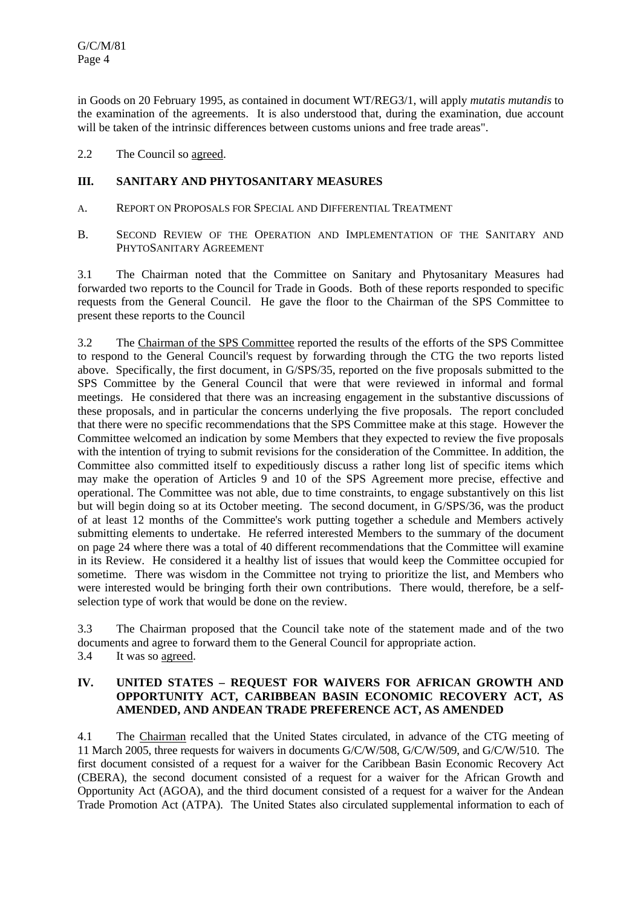in Goods on 20 February 1995, as contained in document WT/REG3/1, will apply *mutatis mutandis* to the examination of the agreements. It is also understood that, during the examination, due account will be taken of the intrinsic differences between customs unions and free trade areas".

2.2 The Council so agreed.

# **III. SANITARY AND PHYTOSANITARY MEASURES**

- A. REPORT ON PROPOSALS FOR SPECIAL AND DIFFERENTIAL TREATMENT
- B. SECOND REVIEW OF THE OPERATION AND IMPLEMENTATION OF THE SANITARY AND PHYTOSANITARY AGREEMENT

3.1 The Chairman noted that the Committee on Sanitary and Phytosanitary Measures had forwarded two reports to the Council for Trade in Goods. Both of these reports responded to specific requests from the General Council. He gave the floor to the Chairman of the SPS Committee to present these reports to the Council

3.2 The Chairman of the SPS Committee reported the results of the efforts of the SPS Committee to respond to the General Council's request by forwarding through the CTG the two reports listed above. Specifically, the first document, in G/SPS/35, reported on the five proposals submitted to the SPS Committee by the General Council that were that were reviewed in informal and formal meetings. He considered that there was an increasing engagement in the substantive discussions of these proposals, and in particular the concerns underlying the five proposals. The report concluded that there were no specific recommendations that the SPS Committee make at this stage. However the Committee welcomed an indication by some Members that they expected to review the five proposals with the intention of trying to submit revisions for the consideration of the Committee. In addition, the Committee also committed itself to expeditiously discuss a rather long list of specific items which may make the operation of Articles 9 and 10 of the SPS Agreement more precise, effective and operational. The Committee was not able, due to time constraints, to engage substantively on this list but will begin doing so at its October meeting. The second document, in G/SPS/36, was the product of at least 12 months of the Committee's work putting together a schedule and Members actively submitting elements to undertake. He referred interested Members to the summary of the document on page 24 where there was a total of 40 different recommendations that the Committee will examine in its Review. He considered it a healthy list of issues that would keep the Committee occupied for sometime. There was wisdom in the Committee not trying to prioritize the list, and Members who were interested would be bringing forth their own contributions. There would, therefore, be a selfselection type of work that would be done on the review.

3.3 The Chairman proposed that the Council take note of the statement made and of the two documents and agree to forward them to the General Council for appropriate action. 3.4 It was so agreed.

## **IV. UNITED STATES – REQUEST FOR WAIVERS FOR AFRICAN GROWTH AND OPPORTUNITY ACT, CARIBBEAN BASIN ECONOMIC RECOVERY ACT, AS AMENDED, AND ANDEAN TRADE PREFERENCE ACT, AS AMENDED**

4.1 The Chairman recalled that the United States circulated, in advance of the CTG meeting of 11 March 2005, three requests for waivers in documents G/C/W/508, G/C/W/509, and G/C/W/510. The first document consisted of a request for a waiver for the Caribbean Basin Economic Recovery Act (CBERA), the second document consisted of a request for a waiver for the African Growth and Opportunity Act (AGOA), and the third document consisted of a request for a waiver for the Andean Trade Promotion Act (ATPA). The United States also circulated supplemental information to each of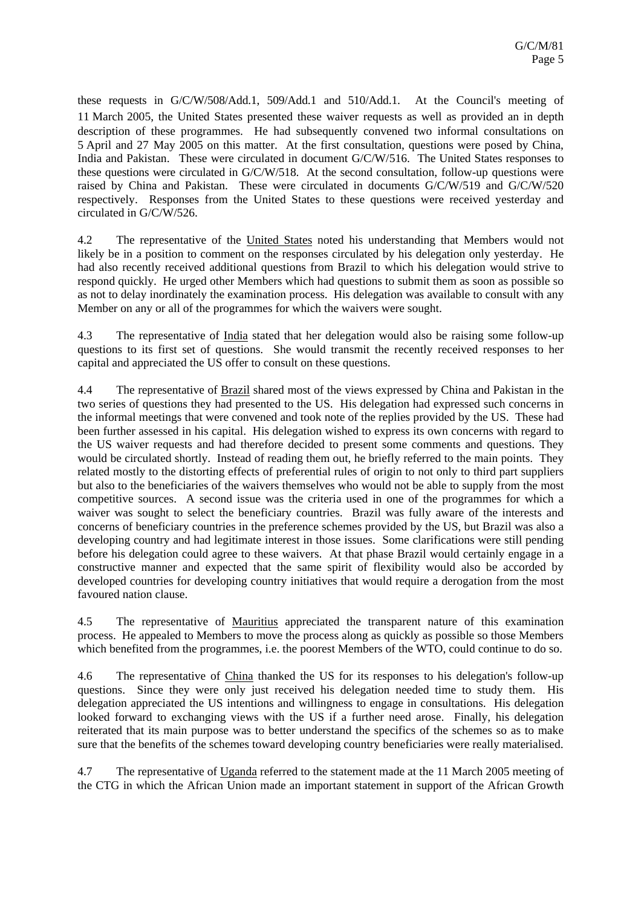these requests in G/C/W/508/Add.1, 509/Add.1 and 510/Add.1. At the Council's meeting of 11 March 2005, the United States presented these waiver requests as well as provided an in depth description of these programmes. He had subsequently convened two informal consultations on 5 April and 27 May 2005 on this matter. At the first consultation, questions were posed by China, India and Pakistan. These were circulated in document G/C/W/516. The United States responses to these questions were circulated in G/C/W/518. At the second consultation, follow-up questions were raised by China and Pakistan. These were circulated in documents G/C/W/519 and G/C/W/520 respectively. Responses from the United States to these questions were received yesterday and circulated in G/C/W/526.

4.2 The representative of the United States noted his understanding that Members would not likely be in a position to comment on the responses circulated by his delegation only yesterday. He had also recently received additional questions from Brazil to which his delegation would strive to respond quickly. He urged other Members which had questions to submit them as soon as possible so as not to delay inordinately the examination process. His delegation was available to consult with any Member on any or all of the programmes for which the waivers were sought.

4.3 The representative of India stated that her delegation would also be raising some follow-up questions to its first set of questions. She would transmit the recently received responses to her capital and appreciated the US offer to consult on these questions.

4.4 The representative of Brazil shared most of the views expressed by China and Pakistan in the two series of questions they had presented to the US. His delegation had expressed such concerns in the informal meetings that were convened and took note of the replies provided by the US. These had been further assessed in his capital. His delegation wished to express its own concerns with regard to the US waiver requests and had therefore decided to present some comments and questions. They would be circulated shortly. Instead of reading them out, he briefly referred to the main points. They related mostly to the distorting effects of preferential rules of origin to not only to third part suppliers but also to the beneficiaries of the waivers themselves who would not be able to supply from the most competitive sources. A second issue was the criteria used in one of the programmes for which a waiver was sought to select the beneficiary countries. Brazil was fully aware of the interests and concerns of beneficiary countries in the preference schemes provided by the US, but Brazil was also a developing country and had legitimate interest in those issues. Some clarifications were still pending before his delegation could agree to these waivers. At that phase Brazil would certainly engage in a constructive manner and expected that the same spirit of flexibility would also be accorded by developed countries for developing country initiatives that would require a derogation from the most favoured nation clause.

4.5 The representative of Mauritius appreciated the transparent nature of this examination process. He appealed to Members to move the process along as quickly as possible so those Members which benefited from the programmes, i.e. the poorest Members of the WTO, could continue to do so.

4.6 The representative of China thanked the US for its responses to his delegation's follow-up questions. Since they were only just received his delegation needed time to study them. His delegation appreciated the US intentions and willingness to engage in consultations. His delegation looked forward to exchanging views with the US if a further need arose. Finally, his delegation reiterated that its main purpose was to better understand the specifics of the schemes so as to make sure that the benefits of the schemes toward developing country beneficiaries were really materialised.

4.7 The representative of Uganda referred to the statement made at the 11 March 2005 meeting of the CTG in which the African Union made an important statement in support of the African Growth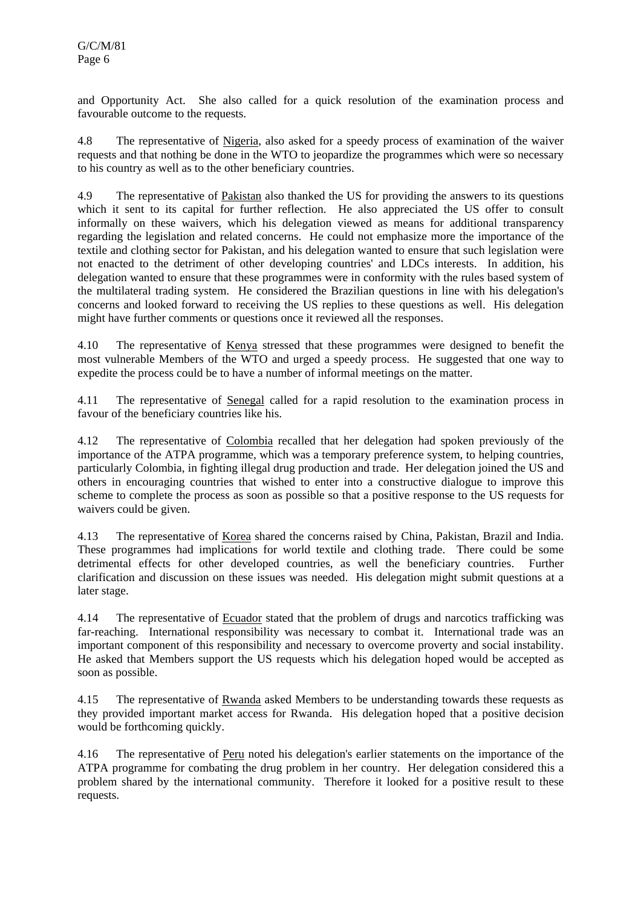and Opportunity Act. She also called for a quick resolution of the examination process and favourable outcome to the requests.

4.8 The representative of Nigeria, also asked for a speedy process of examination of the waiver requests and that nothing be done in the WTO to jeopardize the programmes which were so necessary to his country as well as to the other beneficiary countries.

4.9 The representative of Pakistan also thanked the US for providing the answers to its questions which it sent to its capital for further reflection. He also appreciated the US offer to consult informally on these waivers, which his delegation viewed as means for additional transparency regarding the legislation and related concerns. He could not emphasize more the importance of the textile and clothing sector for Pakistan, and his delegation wanted to ensure that such legislation were not enacted to the detriment of other developing countries' and LDCs interests. In addition, his delegation wanted to ensure that these programmes were in conformity with the rules based system of the multilateral trading system. He considered the Brazilian questions in line with his delegation's concerns and looked forward to receiving the US replies to these questions as well. His delegation might have further comments or questions once it reviewed all the responses.

4.10 The representative of Kenya stressed that these programmes were designed to benefit the most vulnerable Members of the WTO and urged a speedy process. He suggested that one way to expedite the process could be to have a number of informal meetings on the matter.

4.11 The representative of Senegal called for a rapid resolution to the examination process in favour of the beneficiary countries like his.

4.12 The representative of Colombia recalled that her delegation had spoken previously of the importance of the ATPA programme, which was a temporary preference system, to helping countries, particularly Colombia, in fighting illegal drug production and trade. Her delegation joined the US and others in encouraging countries that wished to enter into a constructive dialogue to improve this scheme to complete the process as soon as possible so that a positive response to the US requests for waivers could be given.

4.13 The representative of Korea shared the concerns raised by China, Pakistan, Brazil and India. These programmes had implications for world textile and clothing trade. There could be some detrimental effects for other developed countries, as well the beneficiary countries. Further clarification and discussion on these issues was needed. His delegation might submit questions at a later stage.

4.14 The representative of Ecuador stated that the problem of drugs and narcotics trafficking was far-reaching. International responsibility was necessary to combat it. International trade was an important component of this responsibility and necessary to overcome proverty and social instability. He asked that Members support the US requests which his delegation hoped would be accepted as soon as possible.

4.15 The representative of Rwanda asked Members to be understanding towards these requests as they provided important market access for Rwanda. His delegation hoped that a positive decision would be forthcoming quickly.

4.16 The representative of Peru noted his delegation's earlier statements on the importance of the ATPA programme for combating the drug problem in her country. Her delegation considered this a problem shared by the international community. Therefore it looked for a positive result to these requests.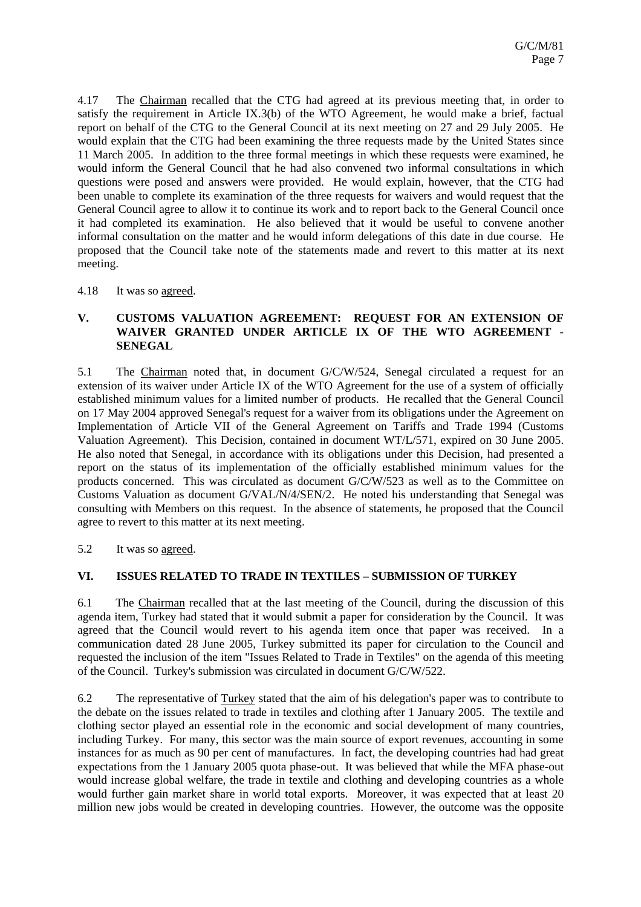4.17 The Chairman recalled that the CTG had agreed at its previous meeting that, in order to satisfy the requirement in Article IX.3(b) of the WTO Agreement, he would make a brief, factual report on behalf of the CTG to the General Council at its next meeting on 27 and 29 July 2005. He would explain that the CTG had been examining the three requests made by the United States since 11 March 2005. In addition to the three formal meetings in which these requests were examined, he would inform the General Council that he had also convened two informal consultations in which questions were posed and answers were provided. He would explain, however, that the CTG had been unable to complete its examination of the three requests for waivers and would request that the General Council agree to allow it to continue its work and to report back to the General Council once it had completed its examination. He also believed that it would be useful to convene another informal consultation on the matter and he would inform delegations of this date in due course. He proposed that the Council take note of the statements made and revert to this matter at its next meeting.

#### 4.18 It was so agreed.

#### **V. CUSTOMS VALUATION AGREEMENT: REQUEST FOR AN EXTENSION OF WAIVER GRANTED UNDER ARTICLE IX OF THE WTO AGREEMENT - SENEGAL**

5.1 The Chairman noted that, in document G/C/W/524, Senegal circulated a request for an extension of its waiver under Article IX of the WTO Agreement for the use of a system of officially established minimum values for a limited number of products. He recalled that the General Council on 17 May 2004 approved Senegal's request for a waiver from its obligations under the Agreement on Implementation of Article VII of the General Agreement on Tariffs and Trade 1994 (Customs Valuation Agreement). This Decision, contained in document WT/L/571, expired on 30 June 2005. He also noted that Senegal, in accordance with its obligations under this Decision, had presented a report on the status of its implementation of the officially established minimum values for the products concerned. This was circulated as document G/C/W/523 as well as to the Committee on Customs Valuation as document G/VAL/N/4/SEN/2. He noted his understanding that Senegal was consulting with Members on this request. In the absence of statements, he proposed that the Council agree to revert to this matter at its next meeting.

#### 5.2 It was so agreed.

#### **VI. ISSUES RELATED TO TRADE IN TEXTILES – SUBMISSION OF TURKEY**

6.1 The Chairman recalled that at the last meeting of the Council, during the discussion of this agenda item, Turkey had stated that it would submit a paper for consideration by the Council. It was agreed that the Council would revert to his agenda item once that paper was received. In a communication dated 28 June 2005, Turkey submitted its paper for circulation to the Council and requested the inclusion of the item "Issues Related to Trade in Textiles" on the agenda of this meeting of the Council. Turkey's submission was circulated in document G/C/W/522.

6.2 The representative of Turkey stated that the aim of his delegation's paper was to contribute to the debate on the issues related to trade in textiles and clothing after 1 January 2005. The textile and clothing sector played an essential role in the economic and social development of many countries, including Turkey. For many, this sector was the main source of export revenues, accounting in some instances for as much as 90 per cent of manufactures. In fact, the developing countries had had great expectations from the 1 January 2005 quota phase-out. It was believed that while the MFA phase-out would increase global welfare, the trade in textile and clothing and developing countries as a whole would further gain market share in world total exports. Moreover, it was expected that at least 20 million new jobs would be created in developing countries. However, the outcome was the opposite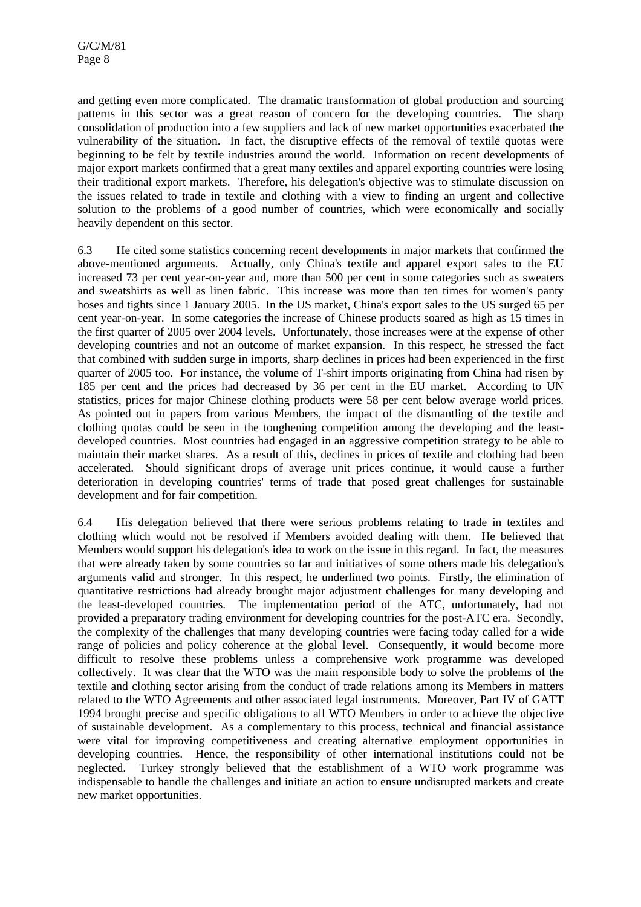and getting even more complicated. The dramatic transformation of global production and sourcing patterns in this sector was a great reason of concern for the developing countries. The sharp consolidation of production into a few suppliers and lack of new market opportunities exacerbated the vulnerability of the situation. In fact, the disruptive effects of the removal of textile quotas were beginning to be felt by textile industries around the world. Information on recent developments of major export markets confirmed that a great many textiles and apparel exporting countries were losing their traditional export markets. Therefore, his delegation's objective was to stimulate discussion on the issues related to trade in textile and clothing with a view to finding an urgent and collective solution to the problems of a good number of countries, which were economically and socially heavily dependent on this sector.

6.3 He cited some statistics concerning recent developments in major markets that confirmed the above-mentioned arguments. Actually, only China's textile and apparel export sales to the EU increased 73 per cent year-on-year and, more than 500 per cent in some categories such as sweaters and sweatshirts as well as linen fabric. This increase was more than ten times for women's panty hoses and tights since 1 January 2005. In the US market, China's export sales to the US surged 65 per cent year-on-year. In some categories the increase of Chinese products soared as high as 15 times in the first quarter of 2005 over 2004 levels. Unfortunately, those increases were at the expense of other developing countries and not an outcome of market expansion. In this respect, he stressed the fact that combined with sudden surge in imports, sharp declines in prices had been experienced in the first quarter of 2005 too. For instance, the volume of T-shirt imports originating from China had risen by 185 per cent and the prices had decreased by 36 per cent in the EU market. According to UN statistics, prices for major Chinese clothing products were 58 per cent below average world prices. As pointed out in papers from various Members, the impact of the dismantling of the textile and clothing quotas could be seen in the toughening competition among the developing and the leastdeveloped countries. Most countries had engaged in an aggressive competition strategy to be able to maintain their market shares. As a result of this, declines in prices of textile and clothing had been accelerated. Should significant drops of average unit prices continue, it would cause a further deterioration in developing countries' terms of trade that posed great challenges for sustainable development and for fair competition.

6.4 His delegation believed that there were serious problems relating to trade in textiles and clothing which would not be resolved if Members avoided dealing with them. He believed that Members would support his delegation's idea to work on the issue in this regard. In fact, the measures that were already taken by some countries so far and initiatives of some others made his delegation's arguments valid and stronger. In this respect, he underlined two points. Firstly, the elimination of quantitative restrictions had already brought major adjustment challenges for many developing and the least-developed countries. The implementation period of the ATC, unfortunately, had not provided a preparatory trading environment for developing countries for the post-ATC era. Secondly, the complexity of the challenges that many developing countries were facing today called for a wide range of policies and policy coherence at the global level. Consequently, it would become more difficult to resolve these problems unless a comprehensive work programme was developed collectively. It was clear that the WTO was the main responsible body to solve the problems of the textile and clothing sector arising from the conduct of trade relations among its Members in matters related to the WTO Agreements and other associated legal instruments. Moreover, Part IV of GATT 1994 brought precise and specific obligations to all WTO Members in order to achieve the objective of sustainable development. As a complementary to this process, technical and financial assistance were vital for improving competitiveness and creating alternative employment opportunities in developing countries. Hence, the responsibility of other international institutions could not be neglected. Turkey strongly believed that the establishment of a WTO work programme was indispensable to handle the challenges and initiate an action to ensure undisrupted markets and create new market opportunities.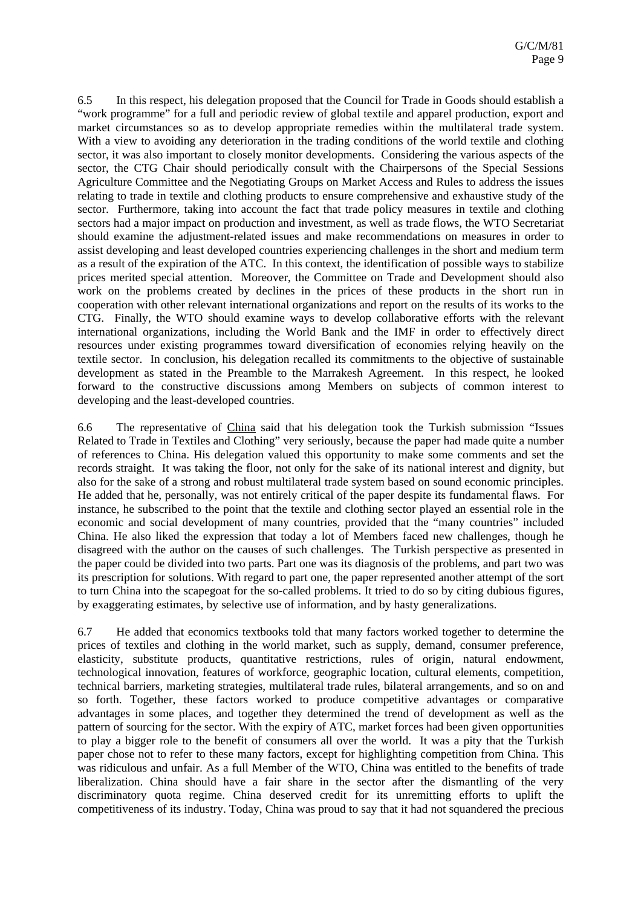6.5 In this respect, his delegation proposed that the Council for Trade in Goods should establish a "work programme" for a full and periodic review of global textile and apparel production, export and market circumstances so as to develop appropriate remedies within the multilateral trade system. With a view to avoiding any deterioration in the trading conditions of the world textile and clothing sector, it was also important to closely monitor developments. Considering the various aspects of the sector, the CTG Chair should periodically consult with the Chairpersons of the Special Sessions Agriculture Committee and the Negotiating Groups on Market Access and Rules to address the issues relating to trade in textile and clothing products to ensure comprehensive and exhaustive study of the sector. Furthermore, taking into account the fact that trade policy measures in textile and clothing sectors had a major impact on production and investment, as well as trade flows, the WTO Secretariat should examine the adjustment-related issues and make recommendations on measures in order to assist developing and least developed countries experiencing challenges in the short and medium term as a result of the expiration of the ATC. In this context, the identification of possible ways to stabilize prices merited special attention. Moreover, the Committee on Trade and Development should also work on the problems created by declines in the prices of these products in the short run in cooperation with other relevant international organizations and report on the results of its works to the CTG. Finally, the WTO should examine ways to develop collaborative efforts with the relevant international organizations, including the World Bank and the IMF in order to effectively direct resources under existing programmes toward diversification of economies relying heavily on the textile sector. In conclusion, his delegation recalled its commitments to the objective of sustainable development as stated in the Preamble to the Marrakesh Agreement. In this respect, he looked forward to the constructive discussions among Members on subjects of common interest to developing and the least-developed countries.

6.6 The representative of China said that his delegation took the Turkish submission "Issues Related to Trade in Textiles and Clothing" very seriously, because the paper had made quite a number of references to China. His delegation valued this opportunity to make some comments and set the records straight. It was taking the floor, not only for the sake of its national interest and dignity, but also for the sake of a strong and robust multilateral trade system based on sound economic principles. He added that he, personally, was not entirely critical of the paper despite its fundamental flaws. For instance, he subscribed to the point that the textile and clothing sector played an essential role in the economic and social development of many countries, provided that the "many countries" included China. He also liked the expression that today a lot of Members faced new challenges, though he disagreed with the author on the causes of such challenges. The Turkish perspective as presented in the paper could be divided into two parts. Part one was its diagnosis of the problems, and part two was its prescription for solutions. With regard to part one, the paper represented another attempt of the sort to turn China into the scapegoat for the so-called problems. It tried to do so by citing dubious figures, by exaggerating estimates, by selective use of information, and by hasty generalizations.

6.7 He added that economics textbooks told that many factors worked together to determine the prices of textiles and clothing in the world market, such as supply, demand, consumer preference, elasticity, substitute products, quantitative restrictions, rules of origin, natural endowment, technological innovation, features of workforce, geographic location, cultural elements, competition, technical barriers, marketing strategies, multilateral trade rules, bilateral arrangements, and so on and so forth. Together, these factors worked to produce competitive advantages or comparative advantages in some places, and together they determined the trend of development as well as the pattern of sourcing for the sector. With the expiry of ATC, market forces had been given opportunities to play a bigger role to the benefit of consumers all over the world. It was a pity that the Turkish paper chose not to refer to these many factors, except for highlighting competition from China. This was ridiculous and unfair. As a full Member of the WTO, China was entitled to the benefits of trade liberalization. China should have a fair share in the sector after the dismantling of the very discriminatory quota regime. China deserved credit for its unremitting efforts to uplift the competitiveness of its industry. Today, China was proud to say that it had not squandered the precious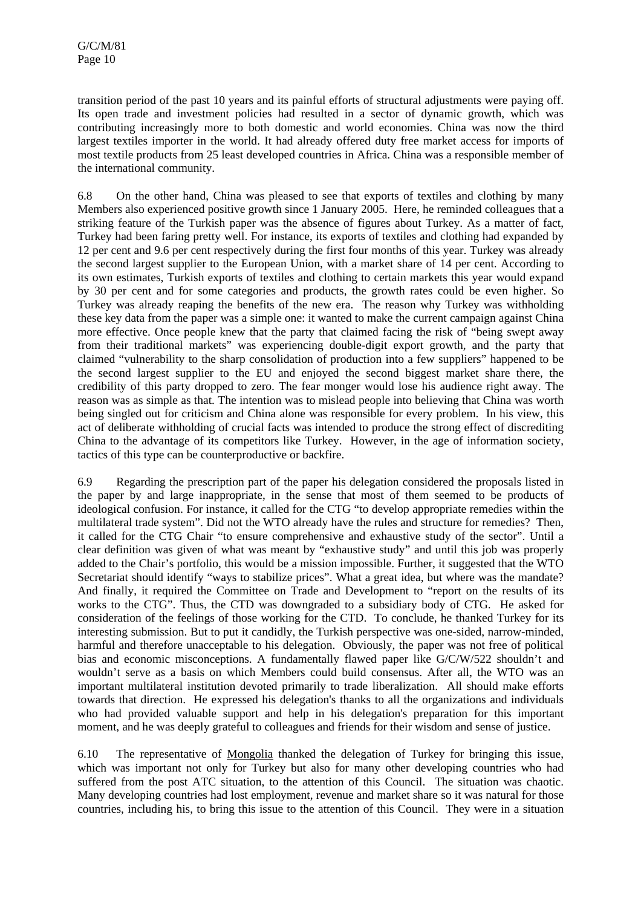transition period of the past 10 years and its painful efforts of structural adjustments were paying off. Its open trade and investment policies had resulted in a sector of dynamic growth, which was contributing increasingly more to both domestic and world economies. China was now the third largest textiles importer in the world. It had already offered duty free market access for imports of most textile products from 25 least developed countries in Africa. China was a responsible member of the international community.

6.8 On the other hand, China was pleased to see that exports of textiles and clothing by many Members also experienced positive growth since 1 January 2005. Here, he reminded colleagues that a striking feature of the Turkish paper was the absence of figures about Turkey. As a matter of fact, Turkey had been faring pretty well. For instance, its exports of textiles and clothing had expanded by 12 per cent and 9.6 per cent respectively during the first four months of this year. Turkey was already the second largest supplier to the European Union, with a market share of 14 per cent. According to its own estimates, Turkish exports of textiles and clothing to certain markets this year would expand by 30 per cent and for some categories and products, the growth rates could be even higher. So Turkey was already reaping the benefits of the new era. The reason why Turkey was withholding these key data from the paper was a simple one: it wanted to make the current campaign against China more effective. Once people knew that the party that claimed facing the risk of "being swept away from their traditional markets" was experiencing double-digit export growth, and the party that claimed "vulnerability to the sharp consolidation of production into a few suppliers" happened to be the second largest supplier to the EU and enjoyed the second biggest market share there, the credibility of this party dropped to zero. The fear monger would lose his audience right away. The reason was as simple as that. The intention was to mislead people into believing that China was worth being singled out for criticism and China alone was responsible for every problem. In his view, this act of deliberate withholding of crucial facts was intended to produce the strong effect of discrediting China to the advantage of its competitors like Turkey. However, in the age of information society, tactics of this type can be counterproductive or backfire.

6.9 Regarding the prescription part of the paper his delegation considered the proposals listed in the paper by and large inappropriate, in the sense that most of them seemed to be products of ideological confusion. For instance, it called for the CTG "to develop appropriate remedies within the multilateral trade system". Did not the WTO already have the rules and structure for remedies? Then, it called for the CTG Chair "to ensure comprehensive and exhaustive study of the sector". Until a clear definition was given of what was meant by "exhaustive study" and until this job was properly added to the Chair's portfolio, this would be a mission impossible. Further, it suggested that the WTO Secretariat should identify "ways to stabilize prices". What a great idea, but where was the mandate? And finally, it required the Committee on Trade and Development to "report on the results of its works to the CTG". Thus, the CTD was downgraded to a subsidiary body of CTG. He asked for consideration of the feelings of those working for the CTD. To conclude, he thanked Turkey for its interesting submission. But to put it candidly, the Turkish perspective was one-sided, narrow-minded, harmful and therefore unacceptable to his delegation. Obviously, the paper was not free of political bias and economic misconceptions. A fundamentally flawed paper like G/C/W/522 shouldn't and wouldn't serve as a basis on which Members could build consensus. After all, the WTO was an important multilateral institution devoted primarily to trade liberalization. All should make efforts towards that direction. He expressed his delegation's thanks to all the organizations and individuals who had provided valuable support and help in his delegation's preparation for this important moment, and he was deeply grateful to colleagues and friends for their wisdom and sense of justice.

6.10 The representative of Mongolia thanked the delegation of Turkey for bringing this issue, which was important not only for Turkey but also for many other developing countries who had suffered from the post ATC situation, to the attention of this Council. The situation was chaotic. Many developing countries had lost employment, revenue and market share so it was natural for those countries, including his, to bring this issue to the attention of this Council. They were in a situation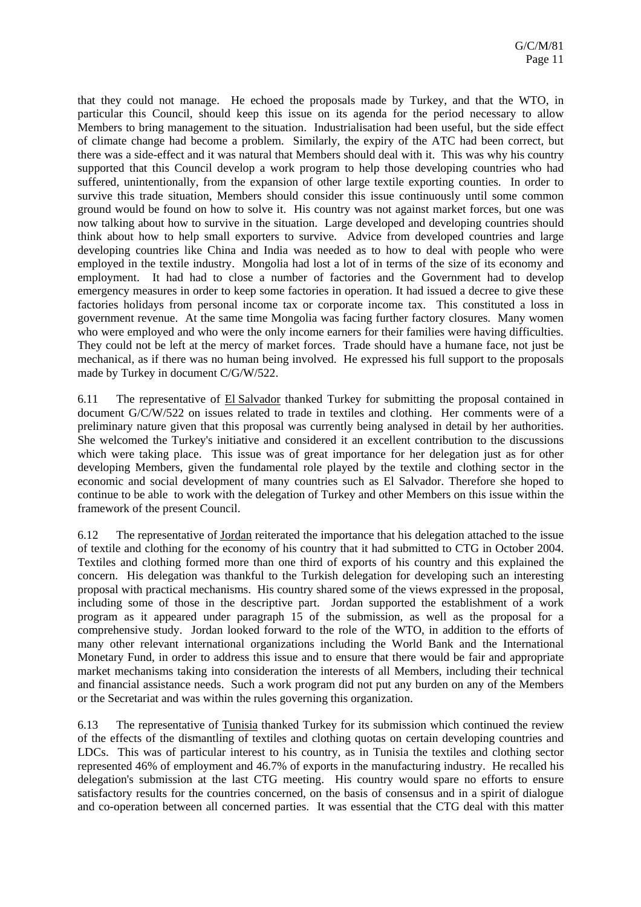that they could not manage. He echoed the proposals made by Turkey, and that the WTO, in particular this Council, should keep this issue on its agenda for the period necessary to allow Members to bring management to the situation. Industrialisation had been useful, but the side effect of climate change had become a problem. Similarly, the expiry of the ATC had been correct, but there was a side-effect and it was natural that Members should deal with it. This was why his country supported that this Council develop a work program to help those developing countries who had suffered, unintentionally, from the expansion of other large textile exporting counties. In order to survive this trade situation, Members should consider this issue continuously until some common ground would be found on how to solve it. His country was not against market forces, but one was now talking about how to survive in the situation. Large developed and developing countries should think about how to help small exporters to survive. Advice from developed countries and large developing countries like China and India was needed as to how to deal with people who were employed in the textile industry. Mongolia had lost a lot of in terms of the size of its economy and employment. It had had to close a number of factories and the Government had to develop emergency measures in order to keep some factories in operation. It had issued a decree to give these factories holidays from personal income tax or corporate income tax. This constituted a loss in government revenue. At the same time Mongolia was facing further factory closures. Many women who were employed and who were the only income earners for their families were having difficulties. They could not be left at the mercy of market forces. Trade should have a humane face, not just be mechanical, as if there was no human being involved. He expressed his full support to the proposals made by Turkey in document C/G/W/522.

6.11 The representative of El Salvador thanked Turkey for submitting the proposal contained in document G/C/W/522 on issues related to trade in textiles and clothing. Her comments were of a preliminary nature given that this proposal was currently being analysed in detail by her authorities. She welcomed the Turkey's initiative and considered it an excellent contribution to the discussions which were taking place. This issue was of great importance for her delegation just as for other developing Members, given the fundamental role played by the textile and clothing sector in the economic and social development of many countries such as El Salvador. Therefore she hoped to continue to be able to work with the delegation of Turkey and other Members on this issue within the framework of the present Council.

6.12 The representative of Jordan reiterated the importance that his delegation attached to the issue of textile and clothing for the economy of his country that it had submitted to CTG in October 2004. Textiles and clothing formed more than one third of exports of his country and this explained the concern. His delegation was thankful to the Turkish delegation for developing such an interesting proposal with practical mechanisms. His country shared some of the views expressed in the proposal, including some of those in the descriptive part. Jordan supported the establishment of a work program as it appeared under paragraph 15 of the submission, as well as the proposal for a comprehensive study. Jordan looked forward to the role of the WTO, in addition to the efforts of many other relevant international organizations including the World Bank and the International Monetary Fund, in order to address this issue and to ensure that there would be fair and appropriate market mechanisms taking into consideration the interests of all Members, including their technical and financial assistance needs. Such a work program did not put any burden on any of the Members or the Secretariat and was within the rules governing this organization.

6.13 The representative of Tunisia thanked Turkey for its submission which continued the review of the effects of the dismantling of textiles and clothing quotas on certain developing countries and LDCs. This was of particular interest to his country, as in Tunisia the textiles and clothing sector represented 46% of employment and 46.7% of exports in the manufacturing industry. He recalled his delegation's submission at the last CTG meeting. His country would spare no efforts to ensure satisfactory results for the countries concerned, on the basis of consensus and in a spirit of dialogue and co-operation between all concerned parties. It was essential that the CTG deal with this matter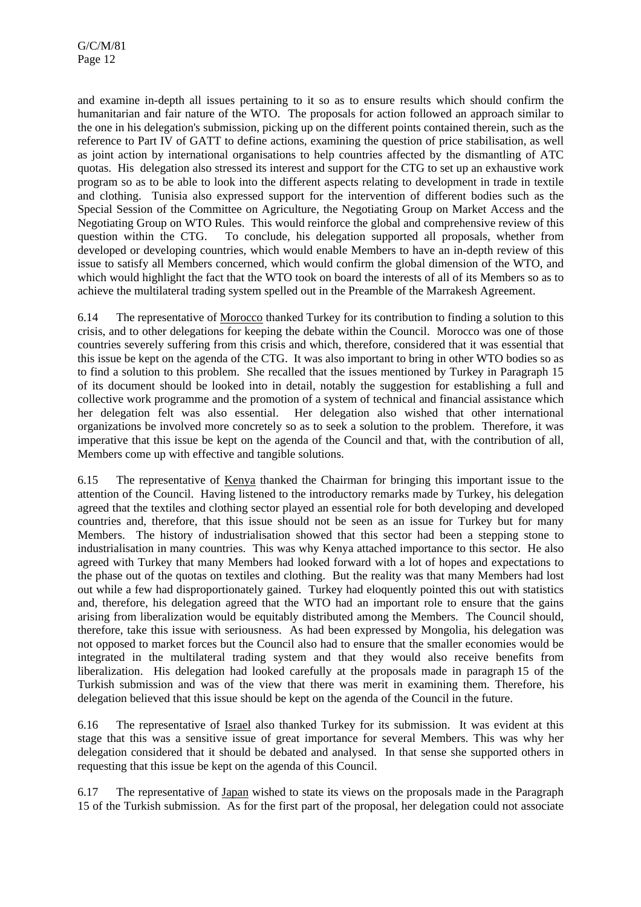and examine in-depth all issues pertaining to it so as to ensure results which should confirm the humanitarian and fair nature of the WTO. The proposals for action followed an approach similar to the one in his delegation's submission, picking up on the different points contained therein, such as the reference to Part IV of GATT to define actions, examining the question of price stabilisation, as well as joint action by international organisations to help countries affected by the dismantling of ATC quotas. His delegation also stressed its interest and support for the CTG to set up an exhaustive work program so as to be able to look into the different aspects relating to development in trade in textile and clothing. Tunisia also expressed support for the intervention of different bodies such as the Special Session of the Committee on Agriculture, the Negotiating Group on Market Access and the Negotiating Group on WTO Rules. This would reinforce the global and comprehensive review of this question within the CTG. To conclude, his delegation supported all proposals, whether from developed or developing countries, which would enable Members to have an in-depth review of this issue to satisfy all Members concerned, which would confirm the global dimension of the WTO, and which would highlight the fact that the WTO took on board the interests of all of its Members so as to achieve the multilateral trading system spelled out in the Preamble of the Marrakesh Agreement.

6.14 The representative of Morocco thanked Turkey for its contribution to finding a solution to this crisis, and to other delegations for keeping the debate within the Council. Morocco was one of those countries severely suffering from this crisis and which, therefore, considered that it was essential that this issue be kept on the agenda of the CTG. It was also important to bring in other WTO bodies so as to find a solution to this problem. She recalled that the issues mentioned by Turkey in Paragraph 15 of its document should be looked into in detail, notably the suggestion for establishing a full and collective work programme and the promotion of a system of technical and financial assistance which her delegation felt was also essential. Her delegation also wished that other international organizations be involved more concretely so as to seek a solution to the problem. Therefore, it was imperative that this issue be kept on the agenda of the Council and that, with the contribution of all, Members come up with effective and tangible solutions.

6.15 The representative of Kenya thanked the Chairman for bringing this important issue to the attention of the Council. Having listened to the introductory remarks made by Turkey, his delegation agreed that the textiles and clothing sector played an essential role for both developing and developed countries and, therefore, that this issue should not be seen as an issue for Turkey but for many Members. The history of industrialisation showed that this sector had been a stepping stone to industrialisation in many countries. This was why Kenya attached importance to this sector. He also agreed with Turkey that many Members had looked forward with a lot of hopes and expectations to the phase out of the quotas on textiles and clothing. But the reality was that many Members had lost out while a few had disproportionately gained. Turkey had eloquently pointed this out with statistics and, therefore, his delegation agreed that the WTO had an important role to ensure that the gains arising from liberalization would be equitably distributed among the Members. The Council should, therefore, take this issue with seriousness. As had been expressed by Mongolia, his delegation was not opposed to market forces but the Council also had to ensure that the smaller economies would be integrated in the multilateral trading system and that they would also receive benefits from liberalization. His delegation had looked carefully at the proposals made in paragraph 15 of the Turkish submission and was of the view that there was merit in examining them. Therefore, his delegation believed that this issue should be kept on the agenda of the Council in the future.

6.16 The representative of Israel also thanked Turkey for its submission. It was evident at this stage that this was a sensitive issue of great importance for several Members. This was why her delegation considered that it should be debated and analysed. In that sense she supported others in requesting that this issue be kept on the agenda of this Council.

6.17 The representative of Japan wished to state its views on the proposals made in the Paragraph 15 of the Turkish submission. As for the first part of the proposal, her delegation could not associate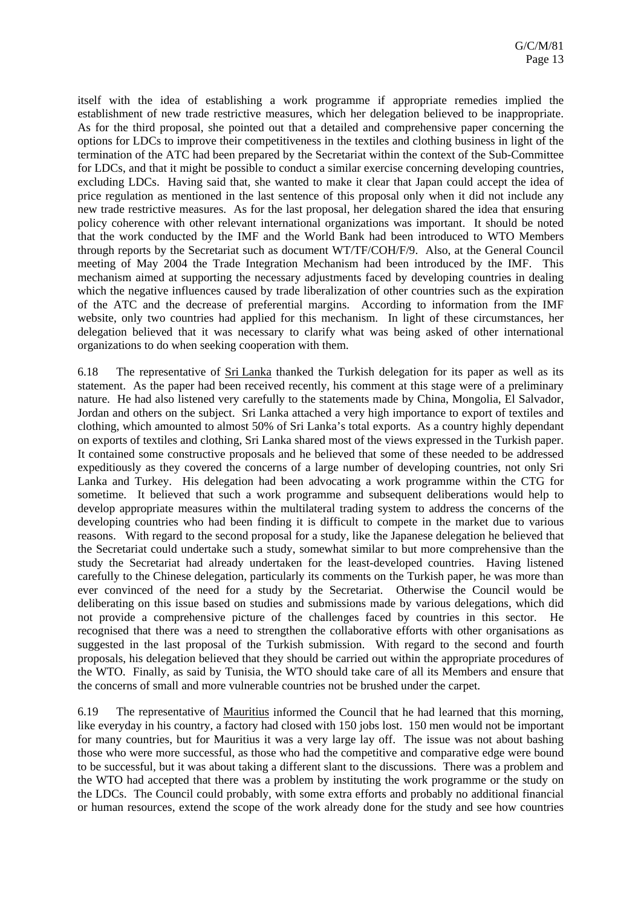itself with the idea of establishing a work programme if appropriate remedies implied the establishment of new trade restrictive measures, which her delegation believed to be inappropriate. As for the third proposal, she pointed out that a detailed and comprehensive paper concerning the options for LDCs to improve their competitiveness in the textiles and clothing business in light of the termination of the ATC had been prepared by the Secretariat within the context of the Sub-Committee for LDCs, and that it might be possible to conduct a similar exercise concerning developing countries, excluding LDCs. Having said that, she wanted to make it clear that Japan could accept the idea of price regulation as mentioned in the last sentence of this proposal only when it did not include any new trade restrictive measures. As for the last proposal, her delegation shared the idea that ensuring policy coherence with other relevant international organizations was important. It should be noted that the work conducted by the IMF and the World Bank had been introduced to WTO Members through reports by the Secretariat such as document WT/TF/COH/F/9. Also, at the General Council meeting of May 2004 the Trade Integration Mechanism had been introduced by the IMF. This mechanism aimed at supporting the necessary adjustments faced by developing countries in dealing which the negative influences caused by trade liberalization of other countries such as the expiration of the ATC and the decrease of preferential margins. According to information from the IMF website, only two countries had applied for this mechanism. In light of these circumstances, her delegation believed that it was necessary to clarify what was being asked of other international organizations to do when seeking cooperation with them.

6.18 The representative of Sri Lanka thanked the Turkish delegation for its paper as well as its statement. As the paper had been received recently, his comment at this stage were of a preliminary nature. He had also listened very carefully to the statements made by China, Mongolia, El Salvador, Jordan and others on the subject. Sri Lanka attached a very high importance to export of textiles and clothing, which amounted to almost 50% of Sri Lanka's total exports. As a country highly dependant on exports of textiles and clothing, Sri Lanka shared most of the views expressed in the Turkish paper. It contained some constructive proposals and he believed that some of these needed to be addressed expeditiously as they covered the concerns of a large number of developing countries, not only Sri Lanka and Turkey. His delegation had been advocating a work programme within the CTG for sometime. It believed that such a work programme and subsequent deliberations would help to develop appropriate measures within the multilateral trading system to address the concerns of the developing countries who had been finding it is difficult to compete in the market due to various reasons. With regard to the second proposal for a study, like the Japanese delegation he believed that the Secretariat could undertake such a study, somewhat similar to but more comprehensive than the study the Secretariat had already undertaken for the least-developed countries. Having listened carefully to the Chinese delegation, particularly its comments on the Turkish paper, he was more than ever convinced of the need for a study by the Secretariat. Otherwise the Council would be deliberating on this issue based on studies and submissions made by various delegations, which did not provide a comprehensive picture of the challenges faced by countries in this sector. He recognised that there was a need to strengthen the collaborative efforts with other organisations as suggested in the last proposal of the Turkish submission. With regard to the second and fourth proposals, his delegation believed that they should be carried out within the appropriate procedures of the WTO. Finally, as said by Tunisia, the WTO should take care of all its Members and ensure that the concerns of small and more vulnerable countries not be brushed under the carpet.

6.19 The representative of Mauritius informed the Council that he had learned that this morning, like everyday in his country, a factory had closed with 150 jobs lost. 150 men would not be important for many countries, but for Mauritius it was a very large lay off. The issue was not about bashing those who were more successful, as those who had the competitive and comparative edge were bound to be successful, but it was about taking a different slant to the discussions. There was a problem and the WTO had accepted that there was a problem by instituting the work programme or the study on the LDCs. The Council could probably, with some extra efforts and probably no additional financial or human resources, extend the scope of the work already done for the study and see how countries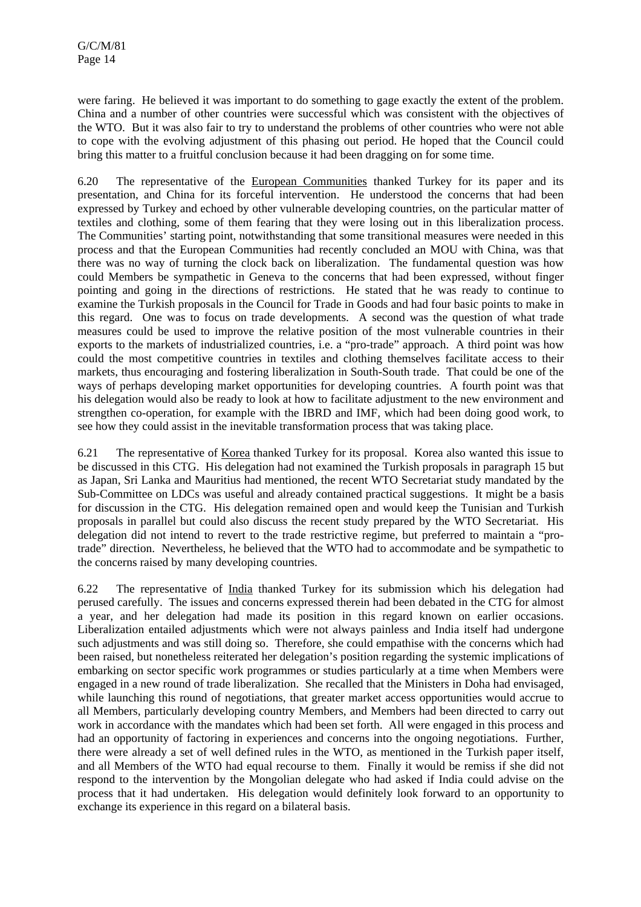were faring. He believed it was important to do something to gage exactly the extent of the problem. China and a number of other countries were successful which was consistent with the objectives of the WTO. But it was also fair to try to understand the problems of other countries who were not able to cope with the evolving adjustment of this phasing out period. He hoped that the Council could bring this matter to a fruitful conclusion because it had been dragging on for some time.

6.20 The representative of the European Communities thanked Turkey for its paper and its presentation, and China for its forceful intervention. He understood the concerns that had been expressed by Turkey and echoed by other vulnerable developing countries, on the particular matter of textiles and clothing, some of them fearing that they were losing out in this liberalization process. The Communities' starting point, notwithstanding that some transitional measures were needed in this process and that the European Communities had recently concluded an MOU with China, was that there was no way of turning the clock back on liberalization. The fundamental question was how could Members be sympathetic in Geneva to the concerns that had been expressed, without finger pointing and going in the directions of restrictions. He stated that he was ready to continue to examine the Turkish proposals in the Council for Trade in Goods and had four basic points to make in this regard. One was to focus on trade developments. A second was the question of what trade measures could be used to improve the relative position of the most vulnerable countries in their exports to the markets of industrialized countries, i.e. a "pro-trade" approach. A third point was how could the most competitive countries in textiles and clothing themselves facilitate access to their markets, thus encouraging and fostering liberalization in South-South trade. That could be one of the ways of perhaps developing market opportunities for developing countries. A fourth point was that his delegation would also be ready to look at how to facilitate adjustment to the new environment and strengthen co-operation, for example with the IBRD and IMF, which had been doing good work, to see how they could assist in the inevitable transformation process that was taking place.

6.21 The representative of Korea thanked Turkey for its proposal. Korea also wanted this issue to be discussed in this CTG. His delegation had not examined the Turkish proposals in paragraph 15 but as Japan, Sri Lanka and Mauritius had mentioned, the recent WTO Secretariat study mandated by the Sub-Committee on LDCs was useful and already contained practical suggestions. It might be a basis for discussion in the CTG. His delegation remained open and would keep the Tunisian and Turkish proposals in parallel but could also discuss the recent study prepared by the WTO Secretariat. His delegation did not intend to revert to the trade restrictive regime, but preferred to maintain a "protrade" direction. Nevertheless, he believed that the WTO had to accommodate and be sympathetic to the concerns raised by many developing countries.

6.22 The representative of India thanked Turkey for its submission which his delegation had perused carefully. The issues and concerns expressed therein had been debated in the CTG for almost a year, and her delegation had made its position in this regard known on earlier occasions. Liberalization entailed adjustments which were not always painless and India itself had undergone such adjustments and was still doing so. Therefore, she could empathise with the concerns which had been raised, but nonetheless reiterated her delegation's position regarding the systemic implications of embarking on sector specific work programmes or studies particularly at a time when Members were engaged in a new round of trade liberalization. She recalled that the Ministers in Doha had envisaged, while launching this round of negotiations, that greater market access opportunities would accrue to all Members, particularly developing country Members, and Members had been directed to carry out work in accordance with the mandates which had been set forth. All were engaged in this process and had an opportunity of factoring in experiences and concerns into the ongoing negotiations. Further, there were already a set of well defined rules in the WTO, as mentioned in the Turkish paper itself, and all Members of the WTO had equal recourse to them. Finally it would be remiss if she did not respond to the intervention by the Mongolian delegate who had asked if India could advise on the process that it had undertaken. His delegation would definitely look forward to an opportunity to exchange its experience in this regard on a bilateral basis.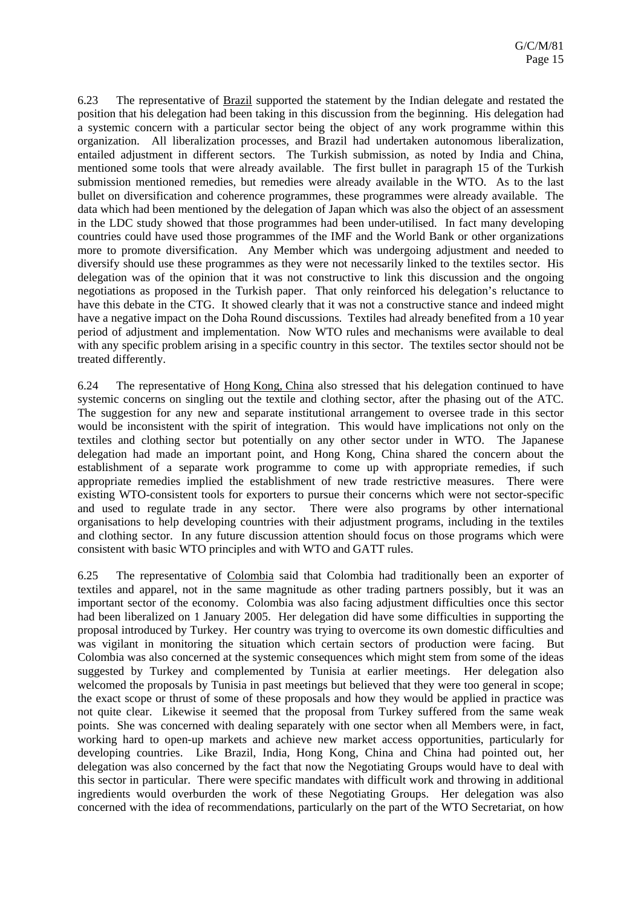6.23 The representative of Brazil supported the statement by the Indian delegate and restated the position that his delegation had been taking in this discussion from the beginning. His delegation had a systemic concern with a particular sector being the object of any work programme within this organization. All liberalization processes, and Brazil had undertaken autonomous liberalization, entailed adjustment in different sectors. The Turkish submission, as noted by India and China, mentioned some tools that were already available. The first bullet in paragraph 15 of the Turkish submission mentioned remedies, but remedies were already available in the WTO. As to the last bullet on diversification and coherence programmes, these programmes were already available. The data which had been mentioned by the delegation of Japan which was also the object of an assessment in the LDC study showed that those programmes had been under-utilised. In fact many developing countries could have used those programmes of the IMF and the World Bank or other organizations more to promote diversification. Any Member which was undergoing adjustment and needed to diversify should use these programmes as they were not necessarily linked to the textiles sector. His delegation was of the opinion that it was not constructive to link this discussion and the ongoing negotiations as proposed in the Turkish paper. That only reinforced his delegation's reluctance to have this debate in the CTG. It showed clearly that it was not a constructive stance and indeed might have a negative impact on the Doha Round discussions. Textiles had already benefited from a 10 year period of adjustment and implementation. Now WTO rules and mechanisms were available to deal with any specific problem arising in a specific country in this sector. The textiles sector should not be treated differently.

6.24 The representative of Hong Kong, China also stressed that his delegation continued to have systemic concerns on singling out the textile and clothing sector, after the phasing out of the ATC. The suggestion for any new and separate institutional arrangement to oversee trade in this sector would be inconsistent with the spirit of integration. This would have implications not only on the textiles and clothing sector but potentially on any other sector under in WTO. The Japanese delegation had made an important point, and Hong Kong, China shared the concern about the establishment of a separate work programme to come up with appropriate remedies, if such appropriate remedies implied the establishment of new trade restrictive measures. There were existing WTO-consistent tools for exporters to pursue their concerns which were not sector-specific and used to regulate trade in any sector. There were also programs by other international organisations to help developing countries with their adjustment programs, including in the textiles and clothing sector. In any future discussion attention should focus on those programs which were consistent with basic WTO principles and with WTO and GATT rules.

6.25 The representative of Colombia said that Colombia had traditionally been an exporter of textiles and apparel, not in the same magnitude as other trading partners possibly, but it was an important sector of the economy. Colombia was also facing adjustment difficulties once this sector had been liberalized on 1 January 2005. Her delegation did have some difficulties in supporting the proposal introduced by Turkey. Her country was trying to overcome its own domestic difficulties and was vigilant in monitoring the situation which certain sectors of production were facing. But Colombia was also concerned at the systemic consequences which might stem from some of the ideas suggested by Turkey and complemented by Tunisia at earlier meetings. Her delegation also welcomed the proposals by Tunisia in past meetings but believed that they were too general in scope; the exact scope or thrust of some of these proposals and how they would be applied in practice was not quite clear. Likewise it seemed that the proposal from Turkey suffered from the same weak points. She was concerned with dealing separately with one sector when all Members were, in fact, working hard to open-up markets and achieve new market access opportunities, particularly for developing countries. Like Brazil, India, Hong Kong, China and China had pointed out, her delegation was also concerned by the fact that now the Negotiating Groups would have to deal with this sector in particular. There were specific mandates with difficult work and throwing in additional ingredients would overburden the work of these Negotiating Groups. Her delegation was also concerned with the idea of recommendations, particularly on the part of the WTO Secretariat, on how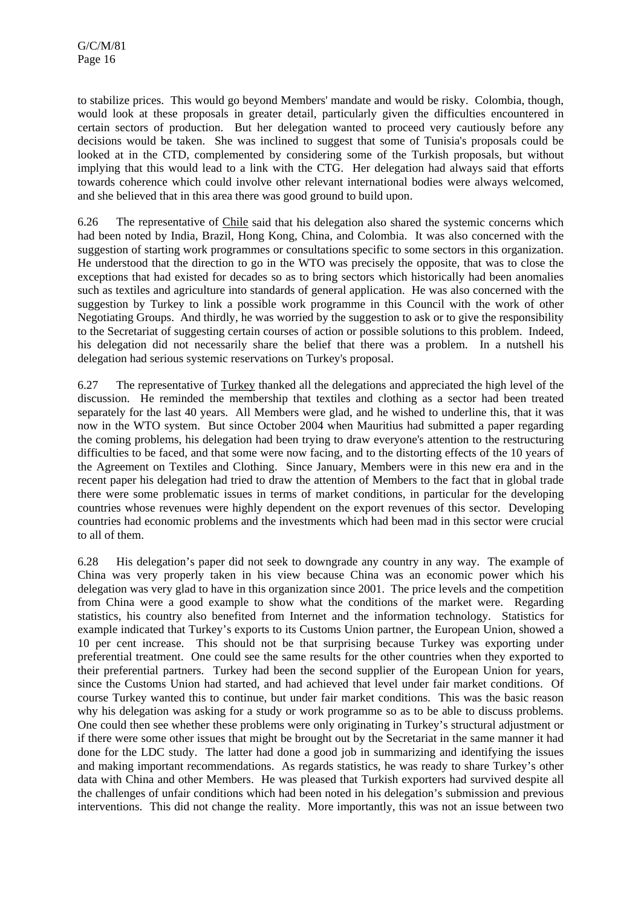to stabilize prices. This would go beyond Members' mandate and would be risky. Colombia, though, would look at these proposals in greater detail, particularly given the difficulties encountered in certain sectors of production. But her delegation wanted to proceed very cautiously before any decisions would be taken. She was inclined to suggest that some of Tunisia's proposals could be looked at in the CTD, complemented by considering some of the Turkish proposals, but without implying that this would lead to a link with the CTG. Her delegation had always said that efforts towards coherence which could involve other relevant international bodies were always welcomed, and she believed that in this area there was good ground to build upon.

6.26 The representative of Chile said that his delegation also shared the systemic concerns which had been noted by India, Brazil, Hong Kong, China, and Colombia. It was also concerned with the suggestion of starting work programmes or consultations specific to some sectors in this organization. He understood that the direction to go in the WTO was precisely the opposite, that was to close the exceptions that had existed for decades so as to bring sectors which historically had been anomalies such as textiles and agriculture into standards of general application. He was also concerned with the suggestion by Turkey to link a possible work programme in this Council with the work of other Negotiating Groups. And thirdly, he was worried by the suggestion to ask or to give the responsibility to the Secretariat of suggesting certain courses of action or possible solutions to this problem. Indeed, his delegation did not necessarily share the belief that there was a problem. In a nutshell his delegation had serious systemic reservations on Turkey's proposal.

6.27 The representative of Turkey thanked all the delegations and appreciated the high level of the discussion. He reminded the membership that textiles and clothing as a sector had been treated separately for the last 40 years. All Members were glad, and he wished to underline this, that it was now in the WTO system. But since October 2004 when Mauritius had submitted a paper regarding the coming problems, his delegation had been trying to draw everyone's attention to the restructuring difficulties to be faced, and that some were now facing, and to the distorting effects of the 10 years of the Agreement on Textiles and Clothing. Since January, Members were in this new era and in the recent paper his delegation had tried to draw the attention of Members to the fact that in global trade there were some problematic issues in terms of market conditions, in particular for the developing countries whose revenues were highly dependent on the export revenues of this sector. Developing countries had economic problems and the investments which had been mad in this sector were crucial to all of them.

6.28 His delegation's paper did not seek to downgrade any country in any way. The example of China was very properly taken in his view because China was an economic power which his delegation was very glad to have in this organization since 2001. The price levels and the competition from China were a good example to show what the conditions of the market were. Regarding statistics, his country also benefited from Internet and the information technology. Statistics for example indicated that Turkey's exports to its Customs Union partner, the European Union, showed a 10 per cent increase. This should not be that surprising because Turkey was exporting under preferential treatment. One could see the same results for the other countries when they exported to their preferential partners. Turkey had been the second supplier of the European Union for years, since the Customs Union had started, and had achieved that level under fair market conditions. Of course Turkey wanted this to continue, but under fair market conditions. This was the basic reason why his delegation was asking for a study or work programme so as to be able to discuss problems. One could then see whether these problems were only originating in Turkey's structural adjustment or if there were some other issues that might be brought out by the Secretariat in the same manner it had done for the LDC study. The latter had done a good job in summarizing and identifying the issues and making important recommendations. As regards statistics, he was ready to share Turkey's other data with China and other Members. He was pleased that Turkish exporters had survived despite all the challenges of unfair conditions which had been noted in his delegation's submission and previous interventions. This did not change the reality. More importantly, this was not an issue between two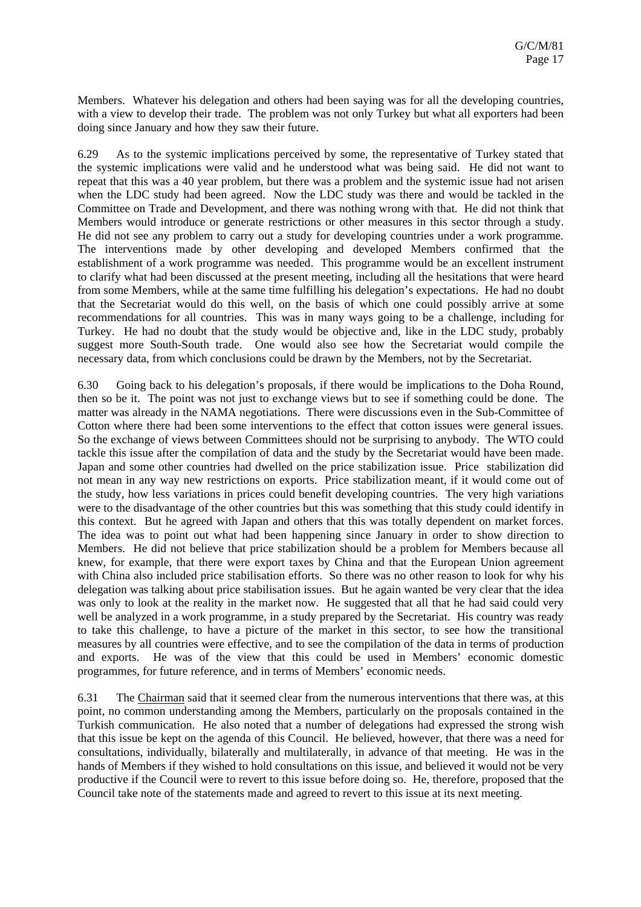Members. Whatever his delegation and others had been saying was for all the developing countries, with a view to develop their trade. The problem was not only Turkey but what all exporters had been doing since January and how they saw their future.

6.29 As to the systemic implications perceived by some, the representative of Turkey stated that the systemic implications were valid and he understood what was being said. He did not want to repeat that this was a 40 year problem, but there was a problem and the systemic issue had not arisen when the LDC study had been agreed. Now the LDC study was there and would be tackled in the Committee on Trade and Development, and there was nothing wrong with that. He did not think that Members would introduce or generate restrictions or other measures in this sector through a study. He did not see any problem to carry out a study for developing countries under a work programme. The interventions made by other developing and developed Members confirmed that the establishment of a work programme was needed. This programme would be an excellent instrument to clarify what had been discussed at the present meeting, including all the hesitations that were heard from some Members, while at the same time fulfilling his delegation's expectations. He had no doubt that the Secretariat would do this well, on the basis of which one could possibly arrive at some recommendations for all countries. This was in many ways going to be a challenge, including for Turkey. He had no doubt that the study would be objective and, like in the LDC study, probably suggest more South-South trade. One would also see how the Secretariat would compile the necessary data, from which conclusions could be drawn by the Members, not by the Secretariat.

6.30 Going back to his delegation's proposals, if there would be implications to the Doha Round, then so be it. The point was not just to exchange views but to see if something could be done. The matter was already in the NAMA negotiations. There were discussions even in the Sub-Committee of Cotton where there had been some interventions to the effect that cotton issues were general issues. So the exchange of views between Committees should not be surprising to anybody. The WTO could tackle this issue after the compilation of data and the study by the Secretariat would have been made. Japan and some other countries had dwelled on the price stabilization issue. Price stabilization did not mean in any way new restrictions on exports. Price stabilization meant, if it would come out of the study, how less variations in prices could benefit developing countries. The very high variations were to the disadvantage of the other countries but this was something that this study could identify in this context. But he agreed with Japan and others that this was totally dependent on market forces. The idea was to point out what had been happening since January in order to show direction to Members. He did not believe that price stabilization should be a problem for Members because all knew, for example, that there were export taxes by China and that the European Union agreement with China also included price stabilisation efforts. So there was no other reason to look for why his delegation was talking about price stabilisation issues. But he again wanted be very clear that the idea was only to look at the reality in the market now. He suggested that all that he had said could very well be analyzed in a work programme, in a study prepared by the Secretariat. His country was ready to take this challenge, to have a picture of the market in this sector, to see how the transitional measures by all countries were effective, and to see the compilation of the data in terms of production and exports. He was of the view that this could be used in Members' economic domestic programmes, for future reference, and in terms of Members' economic needs.

6.31 The Chairman said that it seemed clear from the numerous interventions that there was, at this point, no common understanding among the Members, particularly on the proposals contained in the Turkish communication. He also noted that a number of delegations had expressed the strong wish that this issue be kept on the agenda of this Council. He believed, however, that there was a need for consultations, individually, bilaterally and multilaterally, in advance of that meeting. He was in the hands of Members if they wished to hold consultations on this issue, and believed it would not be very productive if the Council were to revert to this issue before doing so. He, therefore, proposed that the Council take note of the statements made and agreed to revert to this issue at its next meeting.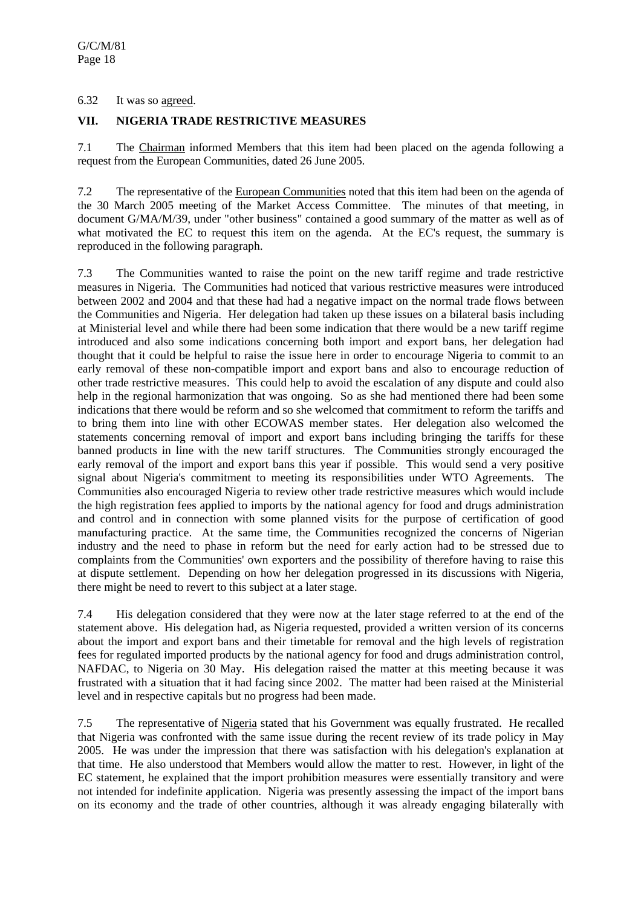6.32 It was so agreed.

## **VII. NIGERIA TRADE RESTRICTIVE MEASURES**

7.1 The Chairman informed Members that this item had been placed on the agenda following a request from the European Communities, dated 26 June 2005.

7.2 The representative of the European Communities noted that this item had been on the agenda of the 30 March 2005 meeting of the Market Access Committee. The minutes of that meeting, in document G/MA/M/39, under "other business" contained a good summary of the matter as well as of what motivated the EC to request this item on the agenda. At the EC's request, the summary is reproduced in the following paragraph.

7.3 The Communities wanted to raise the point on the new tariff regime and trade restrictive measures in Nigeria. The Communities had noticed that various restrictive measures were introduced between 2002 and 2004 and that these had had a negative impact on the normal trade flows between the Communities and Nigeria. Her delegation had taken up these issues on a bilateral basis including at Ministerial level and while there had been some indication that there would be a new tariff regime introduced and also some indications concerning both import and export bans, her delegation had thought that it could be helpful to raise the issue here in order to encourage Nigeria to commit to an early removal of these non-compatible import and export bans and also to encourage reduction of other trade restrictive measures. This could help to avoid the escalation of any dispute and could also help in the regional harmonization that was ongoing. So as she had mentioned there had been some indications that there would be reform and so she welcomed that commitment to reform the tariffs and to bring them into line with other ECOWAS member states. Her delegation also welcomed the statements concerning removal of import and export bans including bringing the tariffs for these banned products in line with the new tariff structures. The Communities strongly encouraged the early removal of the import and export bans this year if possible. This would send a very positive signal about Nigeria's commitment to meeting its responsibilities under WTO Agreements. The Communities also encouraged Nigeria to review other trade restrictive measures which would include the high registration fees applied to imports by the national agency for food and drugs administration and control and in connection with some planned visits for the purpose of certification of good manufacturing practice. At the same time, the Communities recognized the concerns of Nigerian industry and the need to phase in reform but the need for early action had to be stressed due to complaints from the Communities' own exporters and the possibility of therefore having to raise this at dispute settlement. Depending on how her delegation progressed in its discussions with Nigeria, there might be need to revert to this subject at a later stage.

7.4 His delegation considered that they were now at the later stage referred to at the end of the statement above. His delegation had, as Nigeria requested, provided a written version of its concerns about the import and export bans and their timetable for removal and the high levels of registration fees for regulated imported products by the national agency for food and drugs administration control, NAFDAC, to Nigeria on 30 May. His delegation raised the matter at this meeting because it was frustrated with a situation that it had facing since 2002. The matter had been raised at the Ministerial level and in respective capitals but no progress had been made.

7.5 The representative of Nigeria stated that his Government was equally frustrated. He recalled that Nigeria was confronted with the same issue during the recent review of its trade policy in May 2005. He was under the impression that there was satisfaction with his delegation's explanation at that time. He also understood that Members would allow the matter to rest. However, in light of the EC statement, he explained that the import prohibition measures were essentially transitory and were not intended for indefinite application. Nigeria was presently assessing the impact of the import bans on its economy and the trade of other countries, although it was already engaging bilaterally with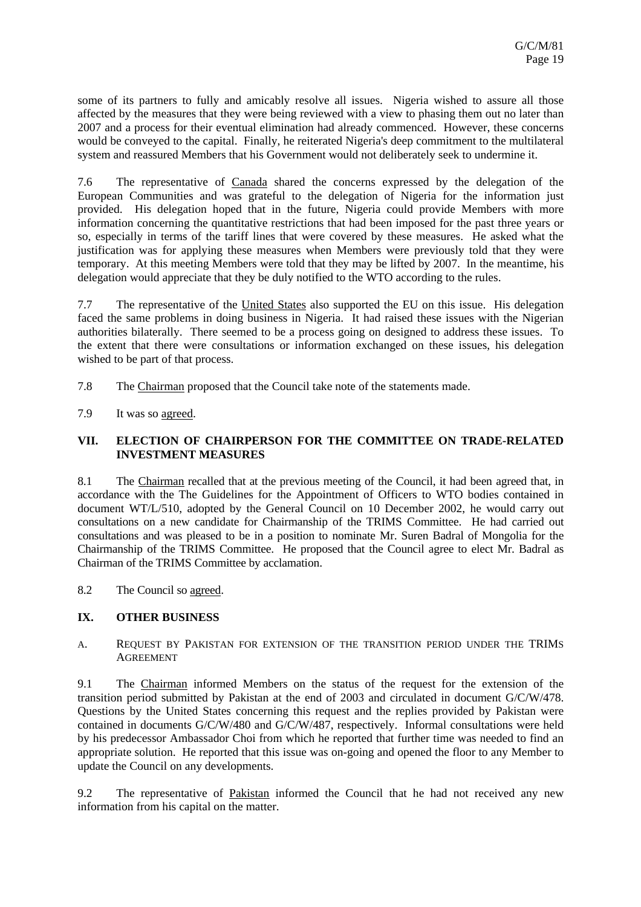some of its partners to fully and amicably resolve all issues. Nigeria wished to assure all those affected by the measures that they were being reviewed with a view to phasing them out no later than 2007 and a process for their eventual elimination had already commenced. However, these concerns would be conveyed to the capital. Finally, he reiterated Nigeria's deep commitment to the multilateral system and reassured Members that his Government would not deliberately seek to undermine it.

7.6 The representative of Canada shared the concerns expressed by the delegation of the European Communities and was grateful to the delegation of Nigeria for the information just provided. His delegation hoped that in the future, Nigeria could provide Members with more information concerning the quantitative restrictions that had been imposed for the past three years or so, especially in terms of the tariff lines that were covered by these measures. He asked what the justification was for applying these measures when Members were previously told that they were temporary. At this meeting Members were told that they may be lifted by 2007. In the meantime, his delegation would appreciate that they be duly notified to the WTO according to the rules.

7.7 The representative of the United States also supported the EU on this issue. His delegation faced the same problems in doing business in Nigeria. It had raised these issues with the Nigerian authorities bilaterally. There seemed to be a process going on designed to address these issues. To the extent that there were consultations or information exchanged on these issues, his delegation wished to be part of that process.

7.8 The Chairman proposed that the Council take note of the statements made.

7.9 It was so agreed.

## **VII. ELECTION OF CHAIRPERSON FOR THE COMMITTEE ON TRADE-RELATED INVESTMENT MEASURES**

8.1 The Chairman recalled that at the previous meeting of the Council, it had been agreed that, in accordance with the The Guidelines for the Appointment of Officers to WTO bodies contained in document WT/L/510, adopted by the General Council on 10 December 2002, he would carry out consultations on a new candidate for Chairmanship of the TRIMS Committee. He had carried out consultations and was pleased to be in a position to nominate Mr. Suren Badral of Mongolia for the Chairmanship of the TRIMS Committee. He proposed that the Council agree to elect Mr. Badral as Chairman of the TRIMS Committee by acclamation.

8.2 The Council so agreed.

# **IX. OTHER BUSINESS**

A. REQUEST BY PAKISTAN FOR EXTENSION OF THE TRANSITION PERIOD UNDER THE TRIMS AGREEMENT

9.1 The Chairman informed Members on the status of the request for the extension of the transition period submitted by Pakistan at the end of 2003 and circulated in document G/C/W/478. Questions by the United States concerning this request and the replies provided by Pakistan were contained in documents G/C/W/480 and G/C/W/487, respectively. Informal consultations were held by his predecessor Ambassador Choi from which he reported that further time was needed to find an appropriate solution. He reported that this issue was on-going and opened the floor to any Member to update the Council on any developments.

9.2 The representative of Pakistan informed the Council that he had not received any new information from his capital on the matter.